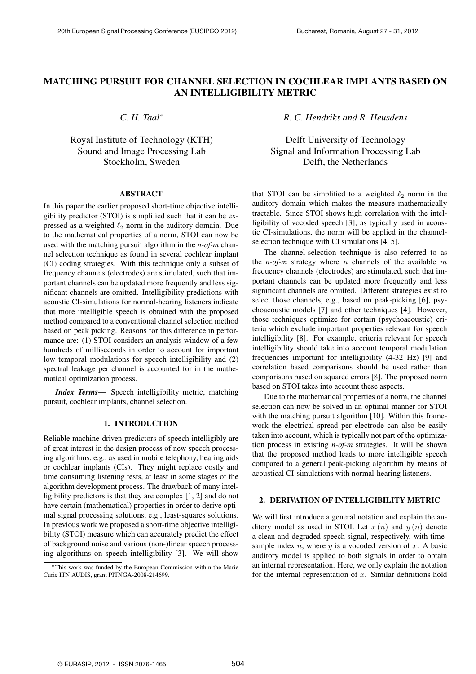# **MATCHING PURSUIT FOR CHANNEL SELECTION IN COCHLEAR IMPLANTS BASED ON AN INTELLIGIBILITY METRIC**

*C. H. Taal*<sup>∗</sup>

Royal Institute of Technology (KTH) Sound and Image Processing Lab Stockholm, Sweden

#### **ABSTRACT**

In this paper the earlier proposed short-time objective intelligibility predictor (STOI) is simplified such that it can be expressed as a weighted  $\ell_2$  norm in the auditory domain. Due to the mathematical properties of a norm, STOI can now be used with the matching pursuit algorithm in the *n-of-m* channel selection technique as found in several cochlear implant (CI) coding strategies. With this technique only a subset of frequency channels (electrodes) are stimulated, such that important channels can be updated more frequently and less significant channels are omitted. Intelligibility predictions with acoustic CI-simulations for normal-hearing listeners indicate that more intelligible speech is obtained with the proposed method compared to a conventional channel selection method based on peak picking. Reasons for this difference in performance are: (1) STOI considers an analysis window of a few hundreds of milliseconds in order to account for important low temporal modulations for speech intelligibility and (2) spectral leakage per channel is accounted for in the mathematical optimization process.

*Index Terms***—** Speech intelligibility metric, matching pursuit, cochlear implants, channel selection.

# **1. INTRODUCTION**

Reliable machine-driven predictors of speech intelligibly are of great interest in the design process of new speech processing algorithms, e.g., as used in mobile telephony, hearing aids or cochlear implants (CIs). They might replace costly and time consuming listening tests, at least in some stages of the algorithm development process. The drawback of many intelligibility predictors is that they are complex [1, 2] and do not have certain (mathematical) properties in order to derive optimal signal processing solutions, e.g., least-squares solutions. In previous work we proposed a short-time objective intelligibility (STOI) measure which can accurately predict the effect of background noise and various (non-)linear speech processing algorithms on speech intelligibility [3]. We will show

*R. C. Hendriks and R. Heusdens*

Delft University of Technology Signal and Information Processing Lab Delft, the Netherlands

that STOI can be simplified to a weighted  $\ell_2$  norm in the auditory domain which makes the measure mathematically tractable. Since STOI shows high correlation with the intelligibility of vocoded speech [3], as typically used in acoustic CI-simulations, the norm will be applied in the channelselection technique with CI simulations [4, 5].

The channel-selection technique is also referred to as the  $n$ -of-m strategy where n channels of the available m frequency channels (electrodes) are stimulated, such that important channels can be updated more frequently and less significant channels are omitted. Different strategies exist to select those channels, e.g., based on peak-picking [6], psychoacoustic models [7] and other techniques [4]. However, those techniques optimize for certain (psychoacoustic) criteria which exclude important properties relevant for speech intelligibility [8]. For example, criteria relevant for speech intelligibility should take into account temporal modulation frequencies important for intelligibility (4-32 Hz) [9] and correlation based comparisons should be used rather than comparisons based on squared errors [8]. The proposed norm based on STOI takes into account these aspects.

Due to the mathematical properties of a norm, the channel selection can now be solved in an optimal manner for STOI with the matching pursuit algorithm [10]. Within this framework the electrical spread per electrode can also be easily taken into account, which is typically not part of the optimization process in existing *n-of-m* strategies. It will be shown that the proposed method leads to more intelligible speech compared to a general peak-picking algorithm by means of acoustical CI-simulations with normal-hearing listeners.

#### **2. DERIVATION OF INTELLIGIBILITY METRIC**

We will first introduce a general notation and explain the auditory model as used in STOI. Let  $x(n)$  and  $y(n)$  denote a clean and degraded speech signal, respectively, with timesample index  $n$ , where  $y$  is a vocoded version of  $x$ . A basic auditory model is applied to both signals in order to obtain an internal representation. Here, we only explain the notation for the internal representation of  $x$ . Similar definitions hold

<sup>∗</sup>This work was funded by the European Commission within the Marie Curie ITN AUDIS, grant PITNGA-2008-214699.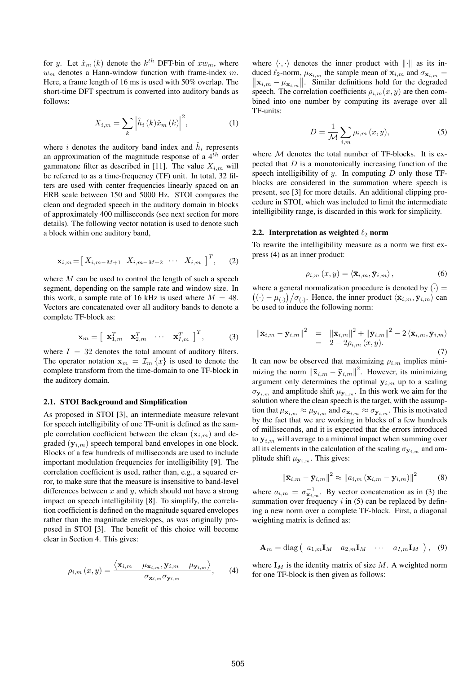for y. Let  $\hat{x}_m(k)$  denote the  $k^{th}$  DFT-bin of  $xw_m$ , where  $w_m$  denotes a Hann-window function with frame-index  $m$ . Here, a frame length of 16 ms is used with 50% overlap. The short-time DFT spectrum is converted into auditory bands as follows:

$$
X_{i,m} = \sum_{k} \left| \hat{h}_i(k)\hat{x}_m(k) \right|^2, \tag{1}
$$

where *i* denotes the auditory band index and  $\hat{h}_i$  represents an approximation of the magnitude response of a  $4^{th}$  order gammatone filter as described in [11]. The value  $X_{i,m}$  will be referred to as a time-frequency (TF) unit. In total, 32 filters are used with center frequencies linearly spaced on an ERB scale between 150 and 5000 Hz. STOI compares the clean and degraded speech in the auditory domain in blocks of approximately 400 milliseconds (see next section for more details). The following vector notation is used to denote such a block within one auditory band,

$$
\mathbf{x}_{i,m} = \begin{bmatrix} X_{i,m-M+1} & X_{i,m-M+2} & \cdots & X_{i,m} \end{bmatrix}^T, \qquad (2)
$$

where  $M$  can be used to control the length of such a speech segment, depending on the sample rate and window size. In this work, a sample rate of 16 kHz is used where  $M = 48$ . Vectors are concatenated over all auditory bands to denote a complete TF-block as:

$$
\mathbf{x}_{m} = \begin{bmatrix} \mathbf{x}_{1,m}^{T} & \mathbf{x}_{2,m}^{T} & \cdots & \mathbf{x}_{I,m}^{T} \end{bmatrix}^{T}, \quad (3)
$$

where  $I = 32$  denotes the total amount of auditory filters. The operator notation  $x_m = \mathcal{I}_m \{x\}$  is used to denote the complete transform from the time-domain to one TF-block in the auditory domain.

# **2.1. STOI Background and Simplification**

As proposed in STOI [3], an intermediate measure relevant for speech intelligibility of one TF-unit is defined as the sample correlation coefficient between the clean  $(\mathbf{x}_{i,m})$  and degraded  $(\mathbf{y}_{i,m})$  speech temporal band envelopes in one block. Blocks of a few hundreds of milliseconds are used to include important modulation frequencies for intelligibility [9]. The correlation coefficient is used, rather than, e.g., a squared error, to make sure that the measure is insensitive to band-level differences between  $x$  and  $y$ , which should not have a strong impact on speech intelligibility [8]. To simplify, the correlation coefficient is defined on the magnitude squared envelopes rather than the magnitude envelopes, as was originally proposed in STOI [3]. The benefit of this choice will become clear in Section 4. This gives:

$$
\rho_{i,m}(x,y) = \frac{\langle \mathbf{x}_{i,m} - \mu_{\mathbf{x}_{i,m}}, \mathbf{y}_{i,m} - \mu_{\mathbf{y}_{i,m}} \rangle}{\sigma_{\mathbf{x}_{i,m}} \sigma_{\mathbf{y}_{i,m}}}, \quad (4)
$$

where  $\langle \cdot, \cdot \rangle$  denotes the inner product with  $\| \cdot \|$  as its induced  $\ell_2$ -norm,  $\mu_{\mathbf{x}_{i,m}}$  the sample mean of  $\mathbf{x}_{i,m}$  and  $\sigma_{\mathbf{x}_{i,m}} =$  $\|\mathbf{x}_{i,m}-\mu_{\mathbf{x}_{i,m}}\|$ . Similar definitions hold for the degraded speech. The correlation coefficients  $\rho_{i,m}(x, y)$  are then combined into one number by computing its average over all TF-units:

$$
D = \frac{1}{\mathcal{M}} \sum_{i,m} \rho_{i,m}(x, y), \tag{5}
$$

where  $M$  denotes the total number of TF-blocks. It is expected that  $D$  is a monotonically increasing function of the speech intelligibility of  $y$ . In computing  $D$  only those TFblocks are considered in the summation where speech is present, see [3] for more details. An additional clipping procedure in STOI, which was included to limit the intermediate intelligibility range, is discarded in this work for simplicity.

### **2.2.** Interpretation as weighted  $\ell_2$  norm

To rewrite the intelligibility measure as a norm we first express (4) as an inner product:

$$
\rho_{i,m}\left(x,y\right) = \langle \bar{\mathbf{x}}_{i,m}, \bar{\mathbf{y}}_{i,m} \rangle, \tag{6}
$$

where a general normalization procedure is denoted by  $\overline{(\cdot)}$  =  $((\cdot) - \mu_{(\cdot)})/\sigma_{(\cdot)}$ . Hence, the inner product  $\langle \bar{\mathbf{x}}_{i,m}, \bar{\mathbf{y}}_{i,m} \rangle$  can be used to induce the following norm:

$$
\begin{array}{rcl} \left\| \bar{\mathbf{x}}_{i,m} - \bar{\mathbf{y}}_{i,m} \right\|^2 & = & \left\| \bar{\mathbf{x}}_{i,m} \right\|^2 + \left\| \bar{\mathbf{y}}_{i,m} \right\|^2 - 2 \left\langle \bar{\mathbf{x}}_{i,m}, \bar{\mathbf{y}}_{i,m} \right\rangle \\ & = & 2 - 2\rho_{i,m} \left( x, y \right). \end{array} \tag{7}
$$

It can now be observed that maximizing  $\rho_{i,m}$  implies minimizing the norm  $\|\bar{\mathbf{x}}_{i,m} - \bar{\mathbf{y}}_{i,m}\|^2$ . However, its minimizing argument only determines the optimal  $y_{i,m}$  up to a scaling  $\sigma_{\mathbf{y}_{i,m}}$  and amplitude shift  $\mu_{\mathbf{y}_{i,m}}$ . In this work we aim for the solution where the clean speech is the target, with the assumption that  $\mu_{\mathbf{x}_{i,m}} \approx \mu_{\mathbf{y}_{i,m}}$  and  $\sigma_{\mathbf{x}_{i,m}} \approx \sigma_{\mathbf{y}_{i,m}}$ . This is motivated by the fact that we are working in blocks of a few hundreds of milliseconds, and it is expected that the errors introduced to  $y_{i,m}$  will average to a minimal impact when summing over all its elements in the calculation of the scaling  $\sigma_{y_{i,m}}$  and amplitude shift  $\mu_{\mathbf{y}_{i,m}}$ . This gives:

$$
\left\|\bar{\mathbf{x}}_{i,m} - \bar{\mathbf{y}}_{i,m}\right\|^2 \approx \left\|a_{i,m}\left(\mathbf{x}_{i,m} - \mathbf{y}_{i,m}\right)\right\|^2 \tag{8}
$$

where  $a_{i,m} = \sigma_{\mathbf{x}_{i,m}}^{-1}$ . By vector concatenation as in (3) the summation over frequency  $i$  in (5) can be replaced by defining a new norm over a complete TF-block. First, a diagonal weighting matrix is defined as:

$$
\mathbf{A}_{m} = \text{diag} \left( a_{1,m} \mathbf{I}_{M} \quad a_{2,m} \mathbf{I}_{M} \quad \cdots \quad a_{I,m} \mathbf{I}_{M} \right), \quad (9)
$$

where  $I_M$  is the identity matrix of size M. A weighted norm for one TF-block is then given as follows: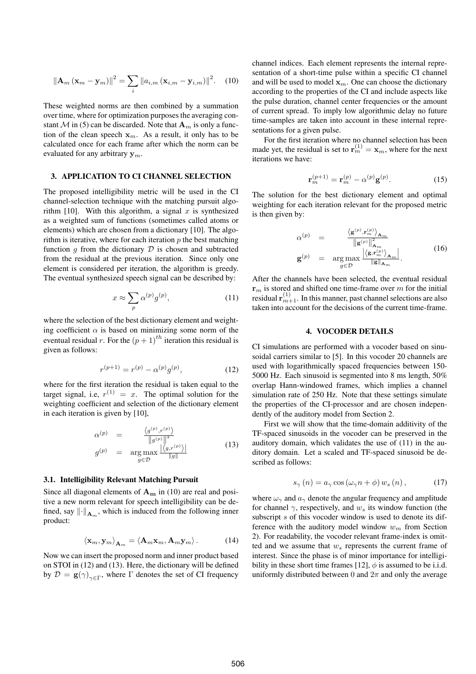$$
\left\|\mathbf{A}_{m}\left(\mathbf{x}_{m}-\mathbf{y}_{m}\right)\right\|^{2}=\sum_{i}\left\|a_{i,m}\left(\mathbf{x}_{i,m}-\mathbf{y}_{i,m}\right)\right\|^{2}.\tag{10}
$$

These weighted norms are then combined by a summation over time, where for optimization purposes the averaging constant M in (5) can be discarded. Note that  $A_m$  is only a function of the clean speech  $x_m$ . As a result, it only has to be calculated once for each frame after which the norm can be evaluated for any arbitrary  $y_m$ .

### **3. APPLICATION TO CI CHANNEL SELECTION**

The proposed intelligibility metric will be used in the CI channel-selection technique with the matching pursuit algorithm [10]. With this algorithm, a signal x is synthesized as a weighted sum of functions (sometimes called atoms or elements) which are chosen from a dictionary [10]. The algorithm is iterative, where for each iteration  $p$  the best matching function q from the dictionary  $D$  is chosen and subtracted from the residual at the previous iteration. Since only one element is considered per iteration, the algorithm is greedy. The eventual synthesized speech signal can be described by:

$$
x \approx \sum_{p} \alpha^{(p)} g^{(p)},\tag{11}
$$

where the selection of the best dictionary element and weighting coefficient  $\alpha$  is based on minimizing some norm of the eventual residual r. For the  $(p + 1)^{th}$  iteration this residual is given as follows:

$$
r^{(p+1)} = r^{(p)} - \alpha^{(p)}g^{(p)},
$$
\n(12)

where for the first iteration the residual is taken equal to the target signal, i.e,  $r^{(1)} = x$ . The optimal solution for the weighting coefficient and selection of the dictionary element in each iteration is given by [10],

$$
\alpha^{(p)} = \frac{\langle g^{(p)}, r^{(p)} \rangle}{\|g^{(p)}\|^2}
$$
\n
$$
g^{(p)} = \arg \max_{g \in \mathcal{D}} \frac{\langle g, r^{(p)} \rangle}{\|g\|} \tag{13}
$$

#### **3.1. Intelligibility Relevant Matching Pursuit**

Since all diagonal elements of  $A_m$  in (10) are real and positive a new norm relevant for speech intelligibility can be defined, say  $\left\| \cdot \right\|_{\mathbf{A}_m}$ , which is induced from the following inner product:

$$
\left\langle \mathbf{x}_m, \mathbf{y}_m \right\rangle_{\mathbf{A}_m} = \left\langle \mathbf{A}_m \mathbf{x}_m, \mathbf{A}_m \mathbf{y}_m \right\rangle. \tag{14}
$$

Now we can insert the proposed norm and inner product based on STOI in (12) and (13). Here, the dictionary will be defined by  $\mathcal{D} = \mathbf{g}(\gamma)_{\gamma \in \Gamma}$ , where  $\Gamma$  denotes the set of CI frequency channel indices. Each element represents the internal representation of a short-time pulse within a specific CI channel and will be used to model  $x_m$ . One can choose the dictionary according to the properties of the CI and include aspects like the pulse duration, channel center frequencies or the amount of current spread. To imply low algorithmic delay no future time-samples are taken into account in these internal representations for a given pulse.

For the first iteration where no channel selection has been made yet, the residual is set to  $\mathbf{r}_m^{(1)} = \mathbf{x}_m$ , where for the next iterations we have:

$$
\mathbf{r}_m^{(p+1)} = \mathbf{r}_m^{(p)} - \alpha^{(p)} \mathbf{g}^{(p)}.
$$
 (15)

The solution for the best dictionary element and optimal weighting for each iteration relevant for the proposed metric is then given by:

$$
\alpha^{(p)} = \frac{\langle \mathbf{g}^{(p)}, \mathbf{r}_m^{(p)} \rangle_{\mathbf{A}_m}}{\|\mathbf{g}^{(p)}\|_{\mathbf{A}_m}^2}
$$
\n
$$
\mathbf{g}^{(p)} = \arg \max_{g \in \mathcal{D}} \frac{\langle \langle \mathbf{g}, \mathbf{r}_m^{(p)} \rangle_{\mathbf{A}_m}}{\|\mathbf{g}\|_{\mathbf{A}_m}}.
$$
\n(16)

After the channels have been selected, the eventual residual  ${\bf r}_m$  is stored and shifted one time-frame over m for the initial residual  $\mathbf{r}_{m+1}^{(1)}$ . In this manner, past channel selections are also taken into account for the decisions of the current time-frame.

#### **4. VOCODER DETAILS**

CI simulations are performed with a vocoder based on sinusoidal carriers similar to [5]. In this vocoder 20 channels are used with logarithmically spaced frequencies between 150- 5000 Hz. Each sinusoid is segmented into 8 ms length, 50% overlap Hann-windowed frames, which implies a channel simulation rate of 250 Hz. Note that these settings simulate the properties of the CI-processor and are chosen independently of the auditory model from Section 2.

First we will show that the time-domain additivity of the TF-spaced sinusoids in the vocoder can be preserved in the auditory domain, which validates the use of (11) in the auditory domain. Let a scaled and TF-spaced sinusoid be described as follows:

$$
s_{\gamma}(n) = a_{\gamma} \cos \left(\omega_{\gamma} n + \phi\right) w_{s}(n), \qquad (17)
$$

where  $\omega_{\gamma}$  and  $a_{\gamma}$  denote the angular frequency and amplitude for channel  $\gamma$ , respectively, and  $w_s$  its window function (the subscript s of this vocoder window is used to denote its difference with the auditory model window  $w_m$  from Section 2). For readability, the vocoder relevant frame-index is omitted and we assume that  $w_s$  represents the current frame of interest. Since the phase is of minor importance for intelligibility in these short time frames [12],  $\phi$  is assumed to be i.i.d. uniformly distributed between 0 and  $2\pi$  and only the average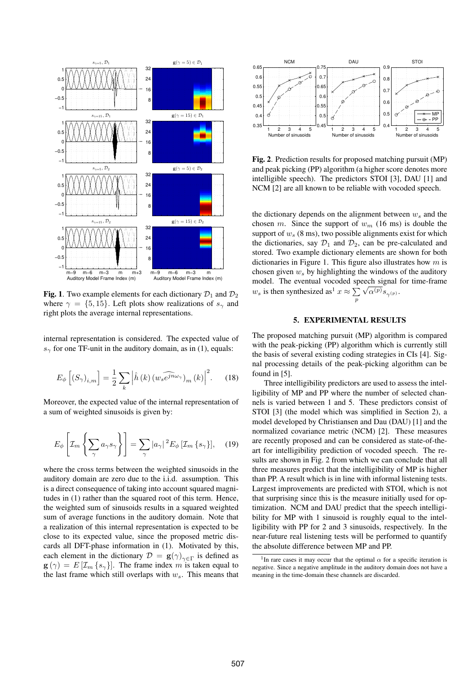

**Fig. 1**. Two example elements for each dictionary  $\mathcal{D}_1$  and  $\mathcal{D}_2$ where  $\gamma = \{5, 15\}$ . Left plots show realizations of  $s_{\gamma}$  and right plots the average internal representations.

internal representation is considered. The expected value of  $s<sub>γ</sub>$  for one TF-unit in the auditory domain, as in (1), equals:

$$
E_{\phi}\left[\left(S_{\gamma}\right)_{i,m}\right] = \frac{1}{2} \sum_{k} \left|\hat{h}\left(k\right) \widehat{\left(w_{s}e^{j\pi\omega_{\gamma}}\right)}_{m}(k)\right|^{2}.\tag{18}
$$

Moreover, the expected value of the internal representation of a sum of weighted sinusoids is given by:

$$
E_{\phi}\left[\mathcal{I}_m\left\{\sum_{\gamma}a_{\gamma}s_{\gamma}\right\}\right] = \sum_{\gamma}|a_{\gamma}|^2E_{\phi}\left[\mathcal{I}_m\left\{s_{\gamma}\right\}\right],\quad(19)
$$

where the cross terms between the weighted sinusoids in the auditory domain are zero due to the i.i.d. assumption. This is a direct consequence of taking into account squared magnitudes in (1) rather than the squared root of this term. Hence, the weighted sum of sinusoids results in a squared weighted sum of average functions in the auditory domain. Note that a realization of this internal representation is expected to be close to its expected value, since the proposed metric discards all DFT-phase information in (1). Motivated by this, each element in the dictionary  $\mathcal{D} = \mathbf{g}(\gamma)_{\gamma \in \Gamma}$  is defined as  $\mathbf{g}(\gamma) = E[\mathcal{I}_m \{s_\gamma\}]$ . The frame index m is taken equal to the last frame which still overlaps with  $w_s$ . This means that



**Fig. 2**. Prediction results for proposed matching pursuit (MP) and peak picking (PP) algorithm (a higher score denotes more intelligible speech). The predictors STOI [3], DAU [1] and NCM [2] are all known to be reliable with vocoded speech.

the dictionary depends on the alignment between  $w_s$  and the chosen m. Since the support of  $w_m$  (16 ms) is double the support of  $w_s$  (8 ms), two possible alignments exist for which the dictionaries, say  $\mathcal{D}_1$  and  $\mathcal{D}_2$ , can be pre-calculated and stored. Two example dictionary elements are shown for both dictionaries in Figure 1. This figure also illustrates how  $m$  is chosen given  $w_s$  by highlighting the windows of the auditory model. The eventual vocoded speech signal for time-frame w<sub>s</sub> is then synthesized as<sup>1</sup>  $x \approx \sum \sqrt{\alpha^{(p)}} s_{\gamma^{(p)}}$ . p

# **5. EXPERIMENTAL RESULTS**

The proposed matching pursuit (MP) algorithm is compared with the peak-picking (PP) algorithm which is currently still the basis of several existing coding strategies in CIs [4]. Signal processing details of the peak-picking algorithm can be found in [5].

Three intelligibility predictors are used to assess the intelligibility of MP and PP where the number of selected channels is varied between 1 and 5. These predictors consist of STOI [3] (the model which was simplified in Section 2), a model developed by Christiansen and Dau (DAU) [1] and the normalized covariance metric (NCM) [2]. These measures are recently proposed and can be considered as state-of-theart for intelligibility prediction of vocoded speech. The results are shown in Fig. 2 from which we can conclude that all three measures predict that the intelligibility of MP is higher than PP. A result which is in line with informal listening tests. Largest improvements are predicted with STOI, which is not that surprising since this is the measure initially used for optimization. NCM and DAU predict that the speech intelligibility for MP with 1 sinusoid is roughly equal to the intelligibility with PP for 2 and 3 sinusoids, respectively. In the near-future real listening tests will be performed to quantify the absolute difference between MP and PP.

<sup>&</sup>lt;sup>1</sup>In rare cases it may occur that the optimal  $\alpha$  for a specific iteration is negative. Since a negative amplitude in the auditory domain does not have a meaning in the time-domain these channels are discarded.